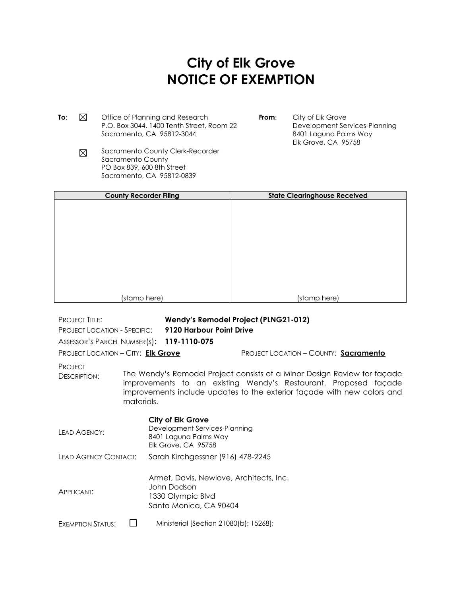## **City of Elk Grove NOTICE OF EXEMPTION**

**To**:  $\boxtimes$  Office of Planning and Research P.O. Box 3044, 1400 Tenth Street, Room 22 Sacramento, CA 95812-3044

- **From**: City of Elk Grove Development Services-Planning 8401 Laguna Palms Way Elk Grove, CA 95758
- Sacramento County Clerk-Recorder  $\boxtimes$ Sacramento County PO Box 839, 600 8th Street Sacramento, CA 95812-0839

| <b>County Recorder Filing</b> | <b>State Clearinghouse Received</b> |
|-------------------------------|-------------------------------------|
|                               |                                     |
|                               |                                     |
|                               |                                     |
|                               |                                     |
|                               |                                     |
|                               |                                     |
|                               |                                     |
|                               |                                     |
|                               |                                     |
| (stamp here)                  | (stamp here)                        |

| <b>PROJECT TITLE:</b><br><b>PROJECT LOCATION - SPECIFIC:</b><br>ASSESSOR'S PARCEL NUMBER(S): 119-1110-075<br>PROJECT LOCATION - CITY: Elk Grove                                                                                                                               |  | Wendy's Remodel Project (PLNG21-012)<br>9120 Harbour Point Drive                                      | PROJECT LOCATION - COUNTY: Sacramento |  |
|-------------------------------------------------------------------------------------------------------------------------------------------------------------------------------------------------------------------------------------------------------------------------------|--|-------------------------------------------------------------------------------------------------------|---------------------------------------|--|
| <b>PROJECT</b><br>The Wendy's Remodel Project consists of a Minor Design Review for façade<br><b>DESCRIPTION:</b><br>improvements to an existing Wendy's Restaurant. Proposed façade<br>improvements include updates to the exterior façade with new colors and<br>materials. |  |                                                                                                       |                                       |  |
| LEAD AGENCY:                                                                                                                                                                                                                                                                  |  | City of Elk Grove<br>Development Services-Planning<br>8401 Laguna Palms Way<br>Elk Grove, CA 95758    |                                       |  |
| LEAD AGENCY CONTACT:                                                                                                                                                                                                                                                          |  | Sarah Kirchgessner (916) 478-2245                                                                     |                                       |  |
| APPLICANT:                                                                                                                                                                                                                                                                    |  | Armet, Davis, Newlove, Architects, Inc.<br>John Dodson<br>1330 Olympic Blvd<br>Santa Monica, CA 90404 |                                       |  |
| <b>EXEMPTION STATUS:</b>                                                                                                                                                                                                                                                      |  | Ministerial [Section 21080(b); 15268];                                                                |                                       |  |